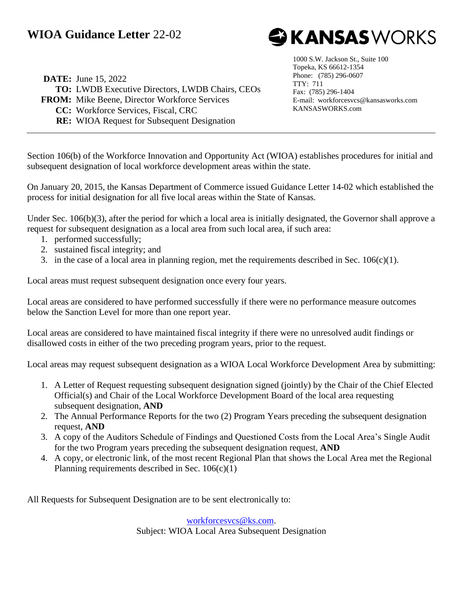## **WIOA Guidance Letter** 22-02



**DATE:** June 15, 2022 **TO:** LWDB Executive Directors, LWDB Chairs, CEOs **FROM:** Mike Beene, Director Workforce Services **CC:** Workforce Services, Fiscal, CRC **RE:** WIOA Request for Subsequent Designation

1000 S.W. Jackson St., Suite 100 Topeka, KS 66612-1354 Phone: (785) 296-0607 TTY: 711 Fax: (785) 296-1404 E-mail: workforcesvcs@kansasworks.com KANSASWORKS.com

Section 106(b) of the Workforce Innovation and Opportunity Act (WIOA) establishes procedures for initial and subsequent designation of local workforce development areas within the state.

On January 20, 2015, the Kansas Department of Commerce issued Guidance Letter 14-02 which established the process for initial designation for all five local areas within the State of Kansas.

Under Sec. 106(b)(3), after the period for which a local area is initially designated, the Governor shall approve a request for subsequent designation as a local area from such local area, if such area:

- 1. performed successfully;
- 2. sustained fiscal integrity; and
- 3. in the case of a local area in planning region, met the requirements described in Sec. 106(c)(1).

Local areas must request subsequent designation once every four years.

Local areas are considered to have performed successfully if there were no performance measure outcomes below the Sanction Level for more than one report year.

Local areas are considered to have maintained fiscal integrity if there were no unresolved audit findings or disallowed costs in either of the two preceding program years, prior to the request.

Local areas may request subsequent designation as a WIOA Local Workforce Development Area by submitting:

- 1. A Letter of Request requesting subsequent designation signed (jointly) by the Chair of the Chief Elected Official(s) and Chair of the Local Workforce Development Board of the local area requesting subsequent designation, **AND**
- 2. The Annual Performance Reports for the two (2) Program Years preceding the subsequent designation request, **AND**
- 3. A copy of the Auditors Schedule of Findings and Questioned Costs from the Local Area's Single Audit for the two Program years preceding the subsequent designation request, **AND**
- 4. A copy, or electronic link, of the most recent Regional Plan that shows the Local Area met the Regional Planning requirements described in Sec.  $106(c)(1)$

All Requests for Subsequent Designation are to be sent electronically to:

[workforcesvcs@ks.com.](mailto:workforcesvcs@ks.com) Subject: WIOA Local Area Subsequent Designation